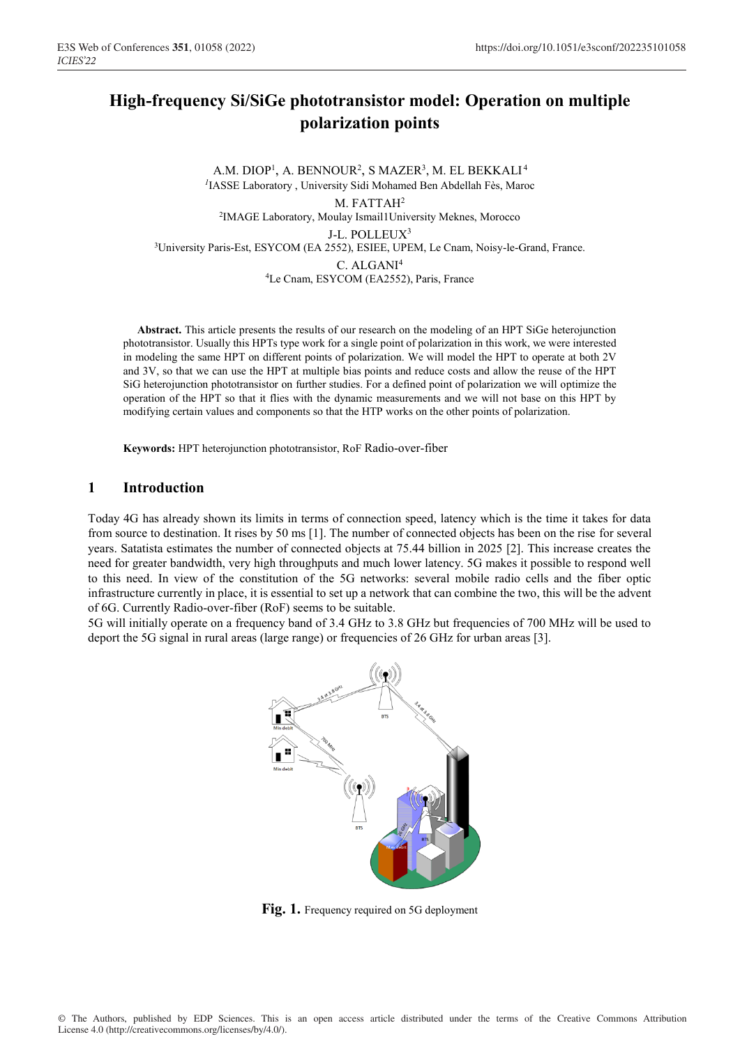# **High-frequency Si/SiGe phototransistor model: Operation on multiple polarization points**

A.M. DIOP<sup>1</sup>, A. BENNOUR<sup>2</sup>, S MAZER<sup>3</sup>, M. EL BEKKALI<sup>4</sup> <sup>1</sup>IASSE Laboratory, University Sidi Mohamed Ben Abdellah Fès, Maroc M. FATTAH<sup>2</sup> 2IMAGE Laboratory, Moulay Ismail1University Meknes, Morocco J-L. POLLEUX3 3University Paris-Est, ESYCOM (EA 2552), ESIEE, UPEM, Le Cnam, Noisy-le-Grand, France. C. ALGANI<sup>4</sup> 4Le Cnam, ESYCOM (EA2552), Paris, France

**Abstract.** This article presents the results of our research on the modeling of an HPT SiGe heterojunction phototransistor. Usually this HPTs type work for a single point of polarization in this work, we were interested in modeling the same HPT on different points of polarization. We will model the HPT to operate at both 2V and 3V, so that we can use the HPT at multiple bias points and reduce costs and allow the reuse of the HPT SiG heterojunction phototransistor on further studies. For a defined point of polarization we will optimize the operation of the HPT so that it flies with the dynamic measurements and we will not base on this HPT by modifying certain values and components so that the HTP works on the other points of polarization.

**Keywords:** HPT heterojunction phototransistor, RoF Radio-over-fiber

#### **1 Introduction**

Today 4G has already shown its limits in terms of connection speed, latency which is the time it takes for data from source to destination. It rises by 50 ms [1]. The number of connected objects has been on the rise for several years. Satatista estimates the number of connected objects at 75.44 billion in 2025 [2]. This increase creates the need for greater bandwidth, very high throughputs and much lower latency. 5G makes it possible to respond well to this need. In view of the constitution of the 5G networks: several mobile radio cells and the fiber optic infrastructure currently in place, it is essential to set up a network that can combine the two, this will be the advent of 6G. Currently Radio-over-fiber (RoF) seems to be suitable.

5G will initially operate on a frequency band of 3.4 GHz to 3.8 GHz but frequencies of 700 MHz will be used to deport the 5G signal in rural areas (large range) or frequencies of 26 GHz for urban areas [3].



Fig. 1. Frequency required on 5G deployment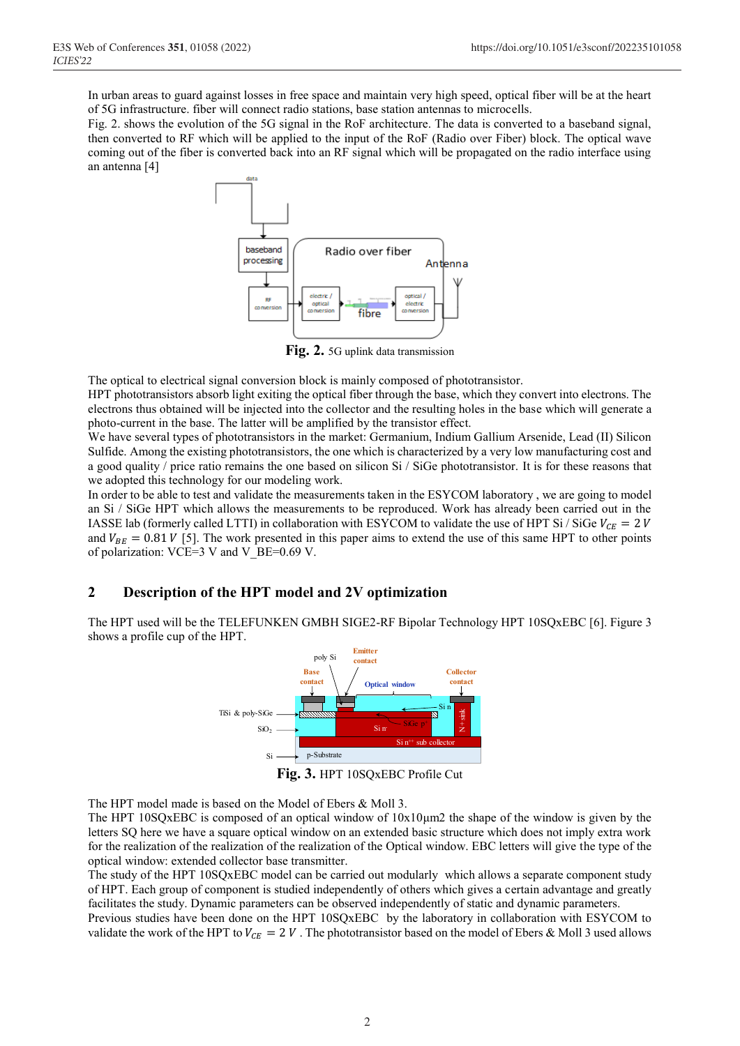In urban areas to guard against losses in free space and maintain very high speed, optical fiber will be at the heart of 5G infrastructure. fiber will connect radio stations, base station antennas to microcells.

Fig. 2. shows the evolution of the 5G signal in the RoF architecture. The data is converted to a baseband signal, then converted to RF which will be applied to the input of the RoF (Radio over Fiber) block. The optical wave coming out of the fiber is converted back into an RF signal which will be propagated on the radio interface using an antenna [4]



**Fig. 2.** 5G uplink data transmission

The optical to electrical signal conversion block is mainly composed of phototransistor.

HPT phototransistors absorb light exiting the optical fiber through the base, which they convert into electrons. The electrons thus obtained will be injected into the collector and the resulting holes in the base which will generate a photo-current in the base. The latter will be amplified by the transistor effect.

We have several types of phototransistors in the market: Germanium, Indium Gallium Arsenide, Lead (II) Silicon Sulfide. Among the existing phototransistors, the one which is characterized by a very low manufacturing cost and a good quality / price ratio remains the one based on silicon Si / SiGe phototransistor. It is for these reasons that we adopted this technology for our modeling work.

In order to be able to test and validate the measurements taken in the ESYCOM laboratory , we are going to model an Si / SiGe HPT which allows the measurements to be reproduced. Work has already been carried out in the IASSE lab (formerly called LTTI) in collaboration with ESYCOM to validate the use of HPT Si / SiGe  $V_{CE} = 2 V$ and  $V_{BE} = 0.81 V$  [5]. The work presented in this paper aims to extend the use of this same HPT to other points of polarization: VCE=3 V and V\_BE=0.69 V.

### **2 Description of the HPT model and 2V optimization**

The HPT used will be the TELEFUNKEN GMBH SIGE2-RF Bipolar Technology HPT 10SQxEBC [6]. Figure 3 shows a profile cup of the HPT.



**Fig. 3.** HPT 10SQxEBC Profile Cut

The HPT model made is based on the Model of Ebers & Moll 3.

The HPT 10SQxEBC is composed of an optical window of 10x10μm2 the shape of the window is given by the letters SQ here we have a square optical window on an extended basic structure which does not imply extra work for the realization of the realization of the realization of the Optical window. EBC letters will give the type of the optical window: extended collector base transmitter.

The study of the HPT 10SQxEBC model can be carried out modularly which allows a separate component study of HPT. Each group of component is studied independently of others which gives a certain advantage and greatly facilitates the study. Dynamic parameters can be observed independently of static and dynamic parameters.

Previous studies have been done on the HPT 10SQxEBC by the laboratory in collaboration with ESYCOM to validate the work of the HPT to  $V_{CF} = 2 V$ . The phototransistor based on the model of Ebers & Moll 3 used allows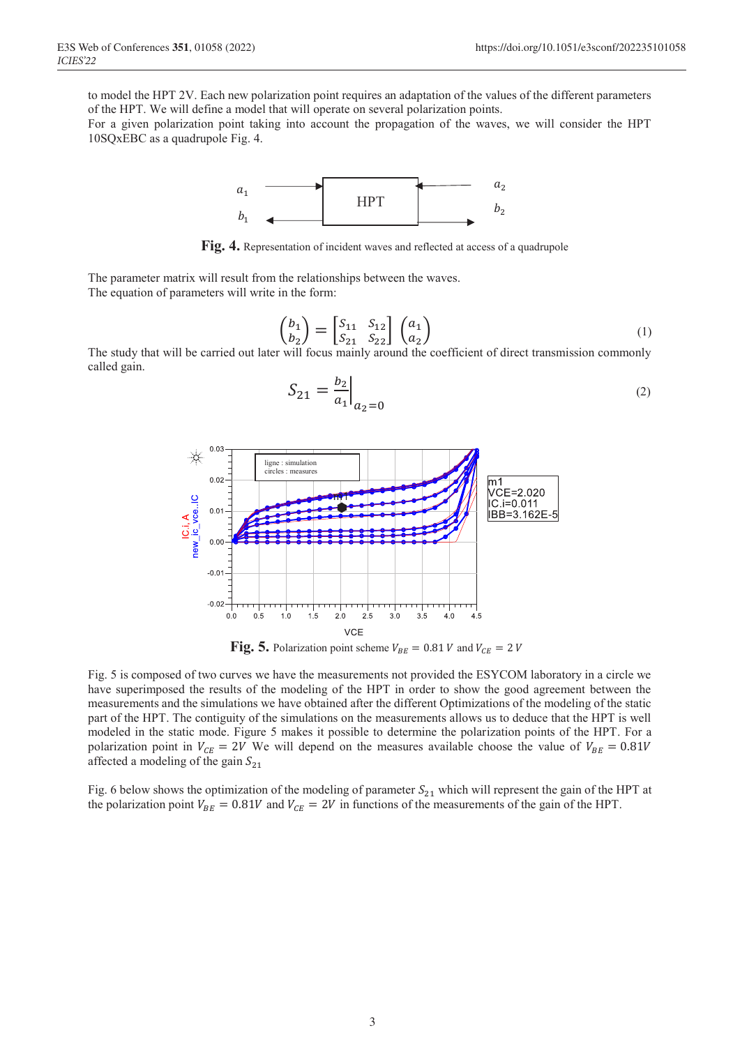to model the HPT 2V. Each new polarization point requires an adaptation of the values of the different parameters of the HPT. We will define a model that will operate on several polarization points.

For a given polarization point taking into account the propagation of the waves, we will consider the HPT 10SQxEBC as a quadrupole Fig. 4.



 **Fig. 4.** Representation of incident waves and reflected at access of a quadrupole

The parameter matrix will result from the relationships between the waves. The equation of parameters will write in the form:

$$
\begin{pmatrix} b_1 \\ b_2 \end{pmatrix} = \begin{bmatrix} S_{11} & S_{12} \\ S_{21} & S_{22} \end{bmatrix} \begin{pmatrix} a_1 \\ a_2 \end{pmatrix}
$$
\nThe study that will be carried out later will focus mainly around the coefficient of direct transmission commonly.

The study that will be carried out later will focus mainly around the coefficient of direct transmission commonly called gain.

$$
S_{21} = \frac{b_2}{a_1} \Big|_{a_2 = 0} \tag{2}
$$



Fig. 5 is composed of two curves we have the measurements not provided the ESYCOM laboratory in a circle we have superimposed the results of the modeling of the HPT in order to show the good agreement between the measurements and the simulations we have obtained after the different Optimizations of the modeling of the static part of the HPT. The contiguity of the simulations on the measurements allows us to deduce that the HPT is well modeled in the static mode. Figure 5 makes it possible to determine the polarization points of the HPT. For a polarization point in  $V_{CE} = 2V$  We will depend on the measures available choose the value of  $V_{BE} = 0.81V$ affected a modeling of the gain  $S_{21}$ 

Fig. 6 below shows the optimization of the modeling of parameter  $S_{21}$  which will represent the gain of the HPT at the polarization point  $V_{BE} = 0.81V$  and  $V_{CE} = 2V$  in functions of the measurements of the gain of the HPT.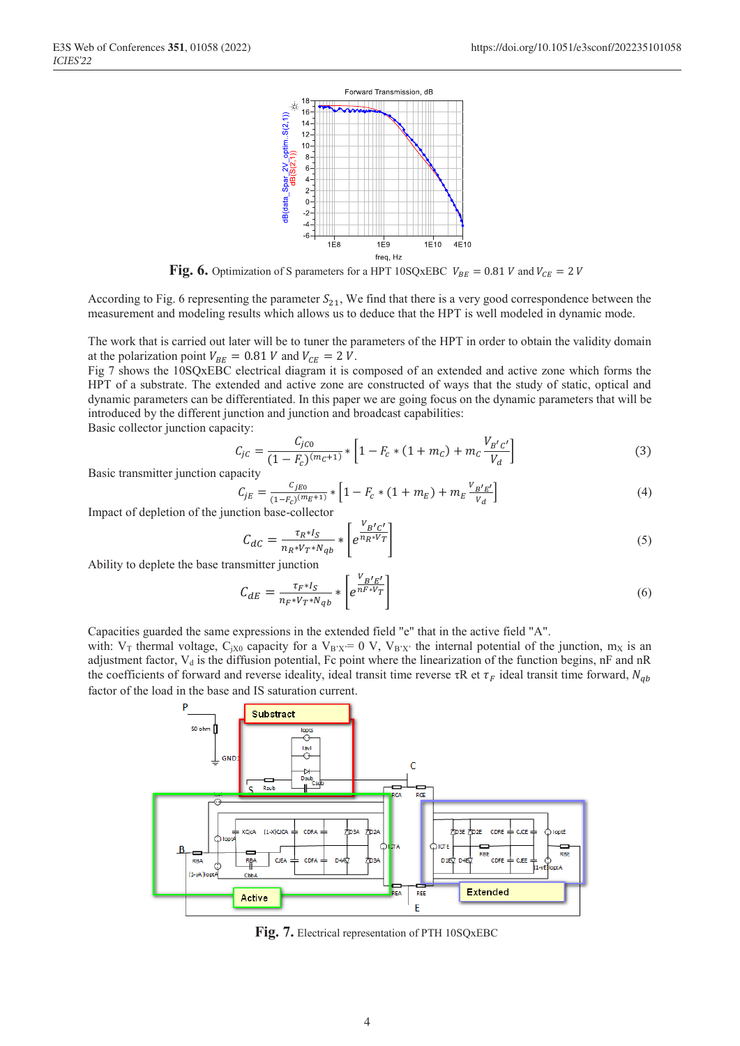

**Fig. 6.** Optimization of S parameters for a HPT 10SQxEBC  $V_{BE} = 0.81 V$  and  $V_{CE} = 2 V$ 

According to Fig. 6 representing the parameter  $S_{21}$ , We find that there is a very good correspondence between the measurement and modeling results which allows us to deduce that the HPT is well modeled in dynamic mode.

The work that is carried out later will be to tuner the parameters of the HPT in order to obtain the validity domain at the polarization point  $V_{BE} = 0.81 V$  and  $V_{CE} = 2 V$ .

Fig 7 shows the 10SQxEBC electrical diagram it is composed of an extended and active zone which forms the HPT of a substrate. The extended and active zone are constructed of ways that the study of static, optical and dynamic parameters can be differentiated. In this paper we are going focus on the dynamic parameters that will be introduced by the different junction and junction and broadcast capabilities:

Basic collector junction capacity:

$$
C_{jC} = \frac{C_{jC0}}{(1 - F_c)^{(m_C + 1)}} * \left[1 - F_c * (1 + m_C) + m_C \frac{V_{B'C'}}{V_d}\right]
$$
(3)

Basic transmitter junction capacity

$$
C_{jE} = \frac{C_{jE0}}{(1 - F_c)^{(m_E + 1)}} * \left[1 - F_c * (1 + m_E) + m_E \frac{V_B r_E'}{V_d}\right]
$$
(4)

Impact of depletion of the junction base-collector

$$
C_{dC} = \frac{\tau_R * I_S}{n_R * V_T * N_{qb}} * \left[ e^{\frac{V_B' C'}{n_R * V_T}} \right]
$$
\n<sup>(5)</sup>

Ability to deplete the base transmitter junction

$$
C_{dE} = \frac{\tau_{F} * I_S}{n_F * V_T * N_{qb}} * \left[ e^{\frac{V_B I_E I}{n_F * V_T}} \right]
$$
\n
$$
\tag{6}
$$

Capacities guarded the same expressions in the extended field "e" that in the active field "A".

with:  $V_T$  thermal voltage, C<sub>jX0</sub> capacity for a  $V_{B'X'}=0$  V,  $V_{B'X'}$  the internal potential of the junction,  $m_X$  is an adjustment factor, V<sub>d</sub> is the diffusion potential, Fc point where the linearization of the function begins, nF and nR the coefficients of forward and reverse ideality, ideal transit time reverse  $\tau R$  et  $\tau_F$  ideal transit time forward,  $N_{ab}$ factor of the load in the base and IS saturation current.



**Fig. 7.** Electrical representation of PTH 10SQxEBC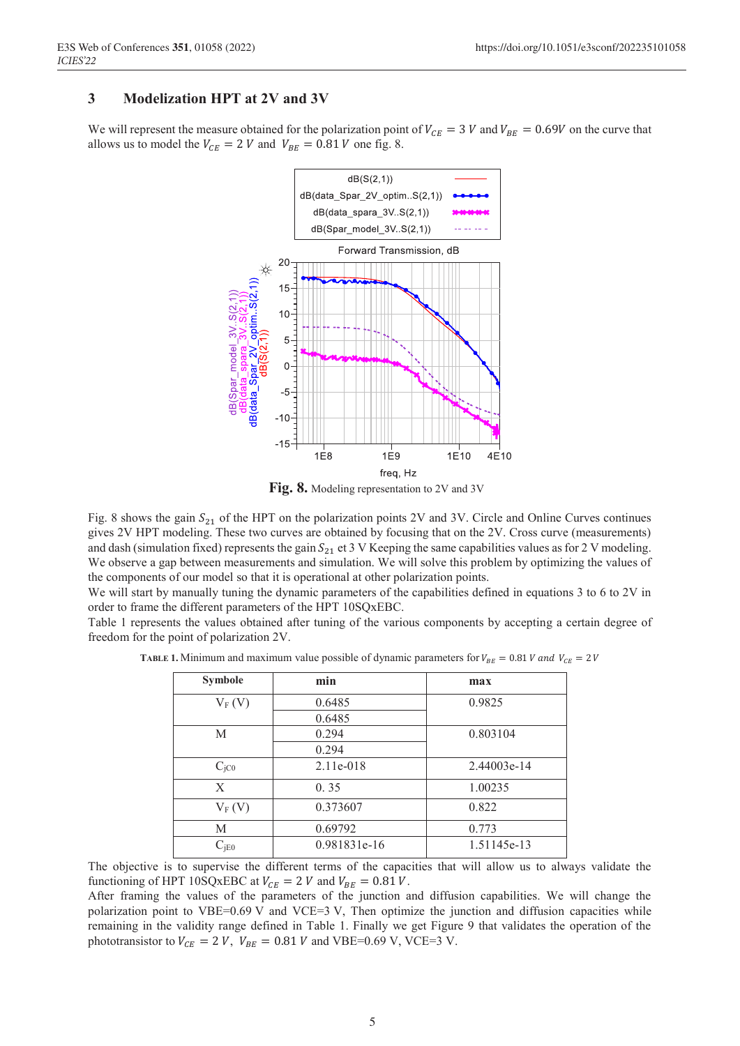# **3 Modelization HPT at 2V and 3V**

We will represent the measure obtained for the polarization point of  $V_{CE} = 3 V$  and  $V_{BE} = 0.69V$  on the curve that allows us to model the  $V_{CE} = 2 V$  and  $V_{BE} = 0.81 V$  one fig. 8.



**Fig. 8.** Modeling representation to 2V and 3V

Fig. 8 shows the gain  $S_{21}$  of the HPT on the polarization points 2V and 3V. Circle and Online Curves continues gives 2V HPT modeling. These two curves are obtained by focusing that on the 2V. Cross curve (measurements) and dash (simulation fixed) represents the gain  $S_{21}$  et 3 V Keeping the same capabilities values as for 2 V modeling. We observe a gap between measurements and simulation. We will solve this problem by optimizing the values of the components of our model so that it is operational at other polarization points.

We will start by manually tuning the dynamic parameters of the capabilities defined in equations 3 to 6 to 2V in order to frame the different parameters of the HPT 10SQxEBC.

Table 1 represents the values obtained after tuning of the various components by accepting a certain degree of freedom for the point of polarization 2V.

| <b>Symbole</b>   | min          | max         |
|------------------|--------------|-------------|
| $V_F(V)$         | 0.6485       | 0.9825      |
|                  | 0.6485       |             |
| M                | 0.294        | 0.803104    |
|                  | 0.294        |             |
| C <sub>jCO</sub> | $2.11e-018$  | 2.44003e-14 |
| X                | 0.35         | 1.00235     |
| $V_F(V)$         | 0.373607     | 0.822       |
| М                | 0.69792      | 0.773       |
| $C_{\text{IEO}}$ | 0.981831e-16 | 1.51145e-13 |

**TABLE 1.** Minimum and maximum value possible of dynamic parameters for  $V_{BE} = 0.81 V$  and  $V_{CE} = 2 V$ 

The objective is to supervise the different terms of the capacities that will allow us to always validate the functioning of HPT 10SQxEBC at  $V_{CE} = 2 V$  and  $V_{BE} = 0.81 V$ .

After framing the values of the parameters of the junction and diffusion capabilities. We will change the polarization point to VBE=0.69 V and VCE=3 V, Then optimize the junction and diffusion capacities while remaining in the validity range defined in Table 1. Finally we get Figure 9 that validates the operation of the phototransistor to  $V_{CE} = 2 V$ ,  $V_{BE} = 0.81 V$  and VBE=0.69 V, VCE=3 V.